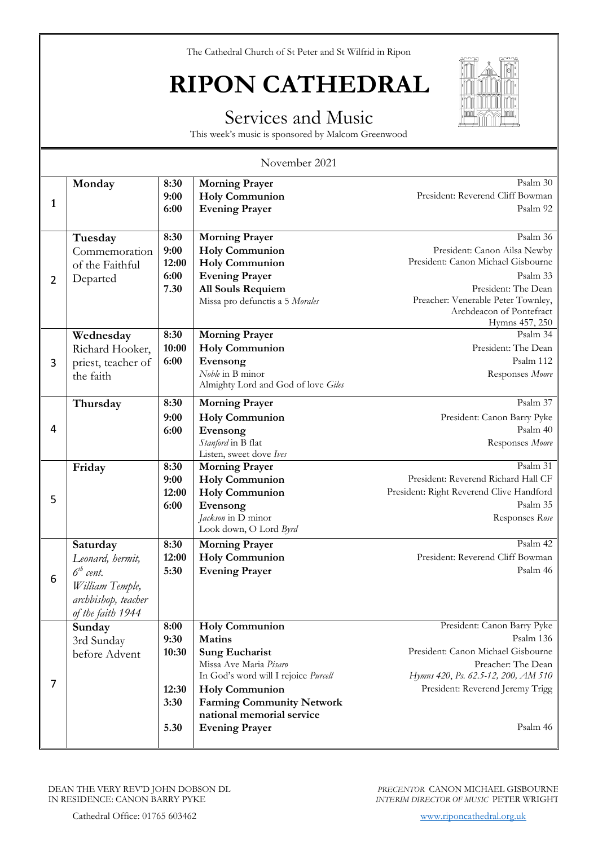## **RIPON CATHEDRAL**

#### Services and Music

This week's music is sponsored by Malcom Greenwood

| November 2021  |                                                                                                            |                                                |                                                                                                                                                                                                                                                      |                                                                                                                                                                                                       |
|----------------|------------------------------------------------------------------------------------------------------------|------------------------------------------------|------------------------------------------------------------------------------------------------------------------------------------------------------------------------------------------------------------------------------------------------------|-------------------------------------------------------------------------------------------------------------------------------------------------------------------------------------------------------|
| $\mathbf{1}$   | Monday                                                                                                     | 8:30<br>9:00<br>6:00                           | <b>Morning Prayer</b><br><b>Holy Communion</b><br><b>Evening Prayer</b>                                                                                                                                                                              | Psalm 30<br>President: Reverend Cliff Bowman<br>Psalm 92                                                                                                                                              |
| $\overline{2}$ | Tuesday<br>Commemoration<br>of the Faithful<br>Departed                                                    | 8:30<br>9:00<br>12:00<br>6:00<br>7.30          | <b>Morning Prayer</b><br><b>Holy Communion</b><br><b>Holy Communion</b><br><b>Evening Prayer</b><br>All Souls Requiem<br>Missa pro defunctis a 5 Morales                                                                                             | Psalm 36<br>President: Canon Ailsa Newby<br>President: Canon Michael Gisbourne<br>Psalm 33<br>President: The Dean<br>Preacher: Venerable Peter Townley,<br>Archdeacon of Pontefract<br>Hymns 457, 250 |
| 3              | Wednesday<br>Richard Hooker,<br>priest, teacher of<br>the faith                                            | 8:30<br>10:00<br>6:00                          | <b>Morning Prayer</b><br><b>Holy Communion</b><br>Evensong<br>Noble in B minor<br>Almighty Lord and God of love Giles                                                                                                                                | Psalm 34<br>President: The Dean<br>Psalm 112<br>Responses Moore                                                                                                                                       |
| 4              | Thursday                                                                                                   | 8:30<br>9:00<br>6:00                           | <b>Morning Prayer</b><br><b>Holy Communion</b><br>Evensong<br>Stanford in B flat<br>Listen, sweet dove Ives                                                                                                                                          | Psalm 37<br>President: Canon Barry Pyke<br>Psalm 40<br>Responses Moore                                                                                                                                |
| 5              | Friday                                                                                                     | 8:30<br>9:00<br>12:00<br>6:00                  | <b>Morning Prayer</b><br><b>Holy Communion</b><br><b>Holy Communion</b><br>Evensong<br>Jackson in D minor<br>Look down, O Lord Byrd                                                                                                                  | Psalm 31<br>President: Reverend Richard Hall CF<br>President: Right Reverend Clive Handford<br>Psalm 35<br>Responses Rose                                                                             |
| 6              | Saturday<br>Leonard, hermit,<br>$6th$ cent.<br>William Temple,<br>archbishop, teacher<br>of the faith 1944 | 8:30<br>12:00<br>5:30                          | <b>Morning Prayer</b><br><b>Holy Communion</b><br><b>Evening Prayer</b>                                                                                                                                                                              | Psalm 42<br>President: Reverend Cliff Bowman<br>Psalm 46                                                                                                                                              |
| 7              | Sunday<br>3rd Sunday<br>before Advent                                                                      | 8:00<br>9:30<br>10:30<br>12:30<br>3:30<br>5.30 | <b>Holy Communion</b><br><b>Matins</b><br><b>Sung Eucharist</b><br>Missa Ave Maria Pisaro<br>In God's word will I rejoice Purcell<br><b>Holy Communion</b><br><b>Farming Community Network</b><br>national memorial service<br><b>Evening Prayer</b> | President: Canon Barry Pyke<br>Psalm 136<br>President: Canon Michael Gisbourne<br>Preacher: The Dean<br>Hymns 420, Ps. 62.5-12, 200, AM 510<br>President: Reverend Jeremy Trigg<br>Psalm 46           |

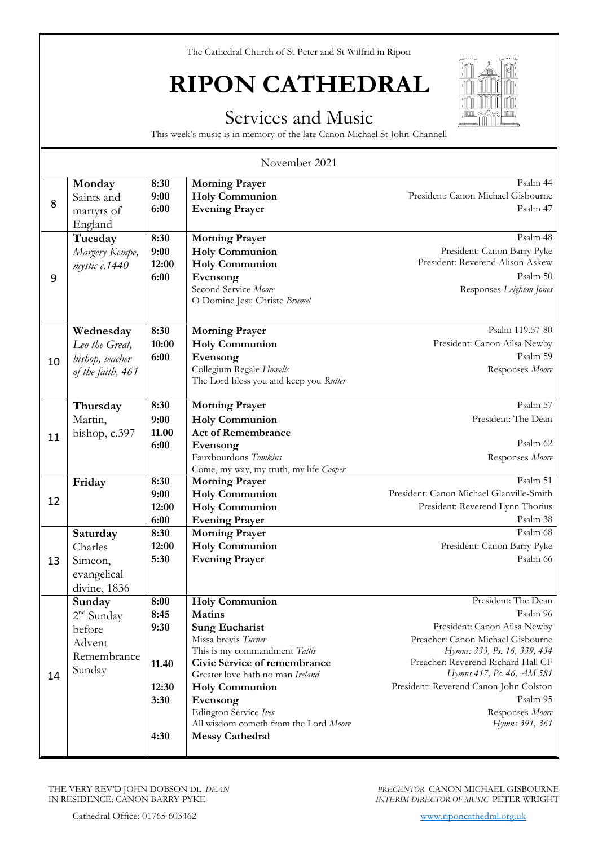## **RIPON CATHEDRAL**

#### Services and Music

This week's music is in memory of the late Canon Michael St John-Channell

| November 2021 |                                                                     |                                                        |                                                                                                                                                                                                                                                                                                                              |                                                                                                                                                                                                                                                                                                    |
|---------------|---------------------------------------------------------------------|--------------------------------------------------------|------------------------------------------------------------------------------------------------------------------------------------------------------------------------------------------------------------------------------------------------------------------------------------------------------------------------------|----------------------------------------------------------------------------------------------------------------------------------------------------------------------------------------------------------------------------------------------------------------------------------------------------|
| 8             | Monday<br>Saints and<br>martyrs of<br>England                       | 8:30<br>9:00<br>6:00                                   | <b>Morning Prayer</b><br><b>Holy Communion</b><br><b>Evening Prayer</b>                                                                                                                                                                                                                                                      | Psalm 44<br>President: Canon Michael Gisbourne<br>Psalm 47                                                                                                                                                                                                                                         |
| 9             | Tuesday<br>Margery Kempe,<br>mystic c.1440                          | 8:30<br>9:00<br>12:00<br>6:00                          | <b>Morning Prayer</b><br><b>Holy Communion</b><br><b>Holy Communion</b><br>Evensong<br>Second Service Moore<br>O Domine Jesu Christe Brumel                                                                                                                                                                                  | Psalm 48<br>President: Canon Barry Pyke<br>President: Reverend Alison Askew<br>Psalm 50<br>Responses Leighton Jones                                                                                                                                                                                |
| 10            | Wednesday<br>Leo the Great,<br>bishop, teacher<br>of the faith, 461 | 8:30<br>10:00<br>6:00                                  | <b>Morning Prayer</b><br><b>Holy Communion</b><br>Evensong<br>Collegium Regale Howells<br>The Lord bless you and keep you Rutter                                                                                                                                                                                             | Psalm 119.57-80<br>President: Canon Ailsa Newby<br>Psalm 59<br>Responses Moore                                                                                                                                                                                                                     |
| 11            | Thursday<br>Martin,<br>bishop, c.397                                | 8:30<br>9:00<br>11.00<br>6:00                          | <b>Morning Prayer</b><br><b>Holy Communion</b><br><b>Act of Remembrance</b><br>Evensong<br>Fauxbourdons Tomkins<br>Come, my way, my truth, my life Cooper                                                                                                                                                                    | Psalm 57<br>President: The Dean<br>Psalm 62<br>Responses Moore                                                                                                                                                                                                                                     |
| 12            | Friday                                                              | 8:30<br>9:00<br>12:00<br>6:00                          | <b>Morning Prayer</b><br><b>Holy Communion</b><br><b>Holy Communion</b><br><b>Evening Prayer</b>                                                                                                                                                                                                                             | Psalm 51<br>President: Canon Michael Glanville-Smith<br>President: Reverend Lynn Thorius<br>Psalm 38                                                                                                                                                                                               |
| 13            | Saturday<br>Charles<br>Simeon,<br>evangelical<br>divine, 1836       | 8:30<br>12:00<br>5:30                                  | <b>Morning Prayer</b><br><b>Holy Communion</b><br><b>Evening Prayer</b>                                                                                                                                                                                                                                                      | Psalm 68<br>President: Canon Barry Pyke<br>Psalm 66                                                                                                                                                                                                                                                |
| 14            | Sunday<br>$2nd$ Sunday<br>before<br>Advent<br>Remembrance<br>Sunday | 8:00<br>8:45<br>9:30<br>11.40<br>12:30<br>3:30<br>4:30 | <b>Holy Communion</b><br><b>Matins</b><br><b>Sung Eucharist</b><br>Missa brevis Turner<br>This is my commandment Tallis<br>Civic Service of remembrance<br>Greater love hath no man Ireland<br><b>Holy Communion</b><br>Evensong<br>Edington Service Ives<br>All wisdom cometh from the Lord Moore<br><b>Messy Cathedral</b> | President: The Dean<br>Psalm 96<br>President: Canon Ailsa Newby<br>Preacher: Canon Michael Gisbourne<br>Hymns: 333, Ps. 16, 339, 434<br>Preacher: Reverend Richard Hall CF<br>Hymns 417, Ps. 46, AM 581<br>President: Reverend Canon John Colston<br>Psalm 95<br>Responses Moore<br>Hymns 391, 361 |

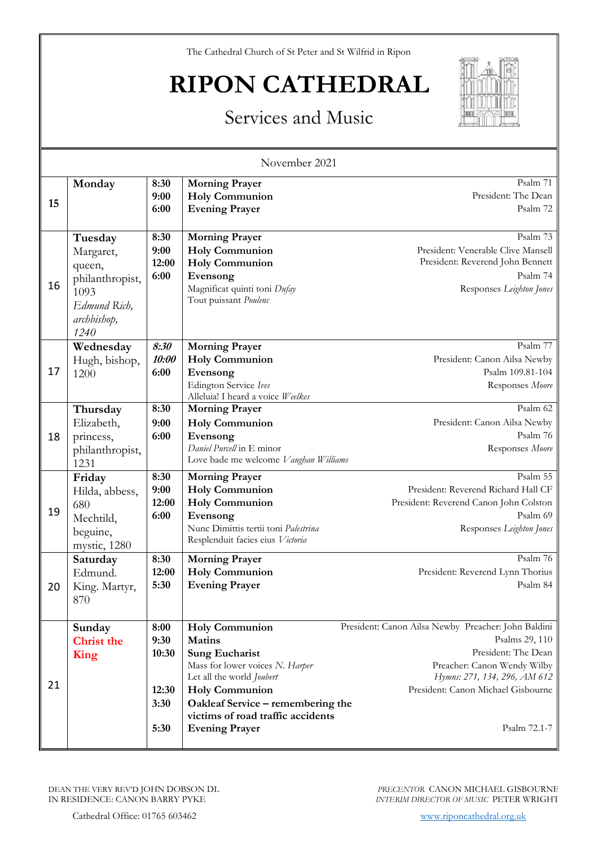# **RIPON CATHEDRAL**



### Services and Music

| November 2021 |                                                                                                  |                                                |                                                                                                                                                                                                                                                             |                                                                                                                                                                                                                   |
|---------------|--------------------------------------------------------------------------------------------------|------------------------------------------------|-------------------------------------------------------------------------------------------------------------------------------------------------------------------------------------------------------------------------------------------------------------|-------------------------------------------------------------------------------------------------------------------------------------------------------------------------------------------------------------------|
| 15            | Monday                                                                                           | 8:30<br>9:00<br>6:00                           | <b>Morning Prayer</b><br><b>Holy Communion</b><br><b>Evening Prayer</b>                                                                                                                                                                                     | Psalm 71<br>President: The Dean<br>Psalm 72                                                                                                                                                                       |
| 16            | Tuesday<br>Margaret,<br>queen,<br>philanthropist,<br>1093<br>Edmund Rich,<br>archbishop,<br>1240 | 8:30<br>9:00<br>12:00<br>6:00                  | <b>Morning Prayer</b><br><b>Holy Communion</b><br><b>Holy Communion</b><br>Evensong<br>Magnificat quinti toni Dufay<br>Tout puissant Poulenc                                                                                                                | Psalm 73<br>President: Venerable Clive Mansell<br>President: Reverend John Bennett<br>Psalm 74<br>Responses Leighton Jones                                                                                        |
| 17            | Wednesday<br>Hugh, bishop,<br>1200                                                               | 8:30<br>10:00<br>6:00                          | <b>Morning Prayer</b><br><b>Holy Communion</b><br>Evensong<br>Edington Service Ives<br>Alleluia! I heard a voice Weelkes                                                                                                                                    | Psalm 77<br>President: Canon Ailsa Newby<br>Psalm 109.81-104<br>Responses Moore                                                                                                                                   |
| 18            | Thursday<br>Elizabeth,<br>princess,<br>philanthropist,<br>1231                                   | 8:30<br>9:00<br>6:00                           | <b>Morning Prayer</b><br><b>Holy Communion</b><br>Evensong<br>Daniel Purcell in E minor<br>Love bade me welcome Vaughan Williams                                                                                                                            | Psalm 62<br>President: Canon Ailsa Newby<br>Psalm 76<br>Responses Moore                                                                                                                                           |
| 19            | Friday<br>Hilda, abbess,<br>680<br>Mechtild,<br>beguine,<br>mystic, 1280                         | 8:30<br>9:00<br>12:00<br>6:00                  | <b>Morning Prayer</b><br><b>Holy Communion</b><br><b>Holy Communion</b><br>Evensong<br>Nunc Dimittis tertii toni Palestrina<br>Resplenduit facies eius Victoria                                                                                             | Psalm 55<br>President: Reverend Richard Hall CF<br>President: Reverend Canon John Colston<br>Psalm 69<br>Responses Leighton Jones                                                                                 |
| 20            | Saturday<br>Edmund.<br>King. Martyr,<br>870                                                      | 8:30<br>12:00<br>5:30                          | <b>Morning Prayer</b><br><b>Holy Communion</b><br><b>Evening Prayer</b>                                                                                                                                                                                     | Psalm 76<br>President: Reverend Lynn Thorius<br>Psalm 84                                                                                                                                                          |
| 21            | Sunday<br><b>Christ the</b><br>King                                                              | 8:00<br>9:30<br>10:30<br>12:30<br>3:30<br>5:30 | <b>Holy Communion</b><br><b>Matins</b><br><b>Sung Eucharist</b><br>Mass for lower voices N. Harper<br>Let all the world Joubert<br><b>Holy Communion</b><br>Oakleaf Service - remembering the<br>victims of road traffic accidents<br><b>Evening Prayer</b> | President: Canon Ailsa Newby Preacher: John Baldini<br>Psalms 29, 110<br>President: The Dean<br>Preacher: Canon Wendy Wilby<br>Hymns: 271, 134, 296, AM 612<br>President: Canon Michael Gisbourne<br>Psalm 72.1-7 |